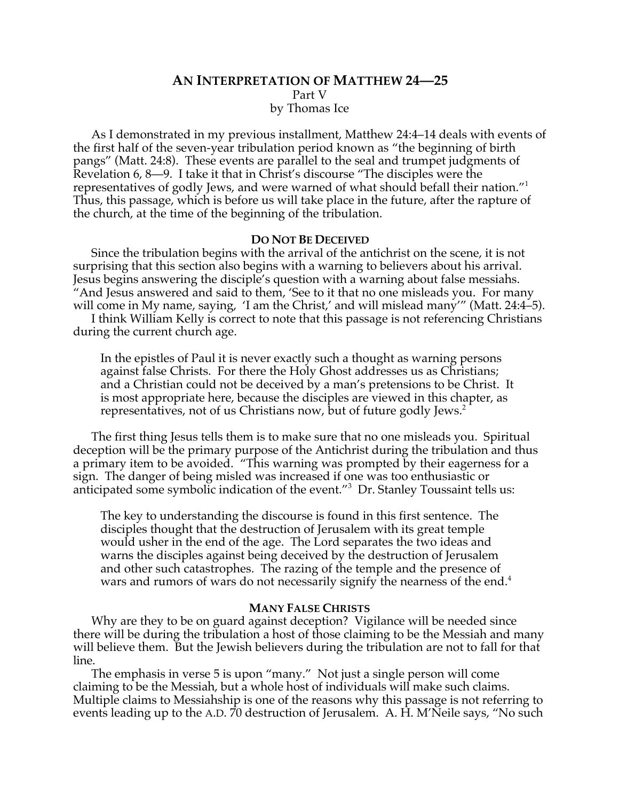# **AN INTERPRETATION OF MATTHEW 24—25** Part V by Thomas Ice

As I demonstrated in my previous installment, Matthew 24:4–14 deals with events of the first half of the seven-year tribulation period known as "the beginning of birth pangs" (Matt. 24:8). These events are parallel to the seal and trumpet judgments of Revelation 6, 8—9. I take it that in Christ's discourse "The disciples were the representatives of godly Jews, and were warned of what should befall their nation."<sup>1</sup> Thus, this passage, which is before us will take place in the future, after the rapture of the church, at the time of the beginning of the tribulation.

#### **DO NOT BE DECEIVED**

Since the tribulation begins with the arrival of the antichrist on the scene, it is not surprising that this section also begins with a warning to believers about his arrival. Jesus begins answering the disciple's question with a warning about false messiahs. "And Jesus answered and said to them, 'See to it that no one misleads you. For many will come in My name, saying, 'I am the Christ,' and will mislead many''' (Matt. 24:4–5). I think William Kelly is correct to note that this passage is not referencing Christians

during the current church age.

In the epistles of Paul it is never exactly such a thought as warning persons against false Christs. For there the Holy Ghost addresses us as Christians; and a Christian could not be deceived by a man's pretensions to be Christ. It is most appropriate here, because the disciples are viewed in this chapter, as representatives, not of us Christians now, but of future godly Jews.<sup>2</sup>

The first thing Jesus tells them is to make sure that no one misleads you. Spiritual deception will be the primary purpose of the Antichrist during the tribulation and thus a primary item to be avoided. "This warning was prompted by their eagerness for a sign. The danger of being misled was increased if one was too enthusiastic or anticipated some symbolic indication of the event."<sup>3</sup> Dr. Stanley Toussaint tells us:

The key to understanding the discourse is found in this first sentence. The disciples thought that the destruction of Jerusalem with its great temple would usher in the end of the age. The Lord separates the two ideas and warns the disciples against being deceived by the destruction of Jerusalem and other such catastrophes. The razing of the temple and the presence of wars and rumors of wars do not necessarily signify the nearness of the end.<sup>4</sup>

#### **MANY FALSE CHRISTS**

Why are they to be on guard against deception? Vigilance will be needed since there will be during the tribulation a host of those claiming to be the Messiah and many will believe them. But the Jewish believers during the tribulation are not to fall for that line.

The emphasis in verse 5 is upon "many." Not just a single person will come claiming to be the Messiah, but a whole host of individuals will make such claims. Multiple claims to Messiahship is one of the reasons why this passage is not referring to events leading up to the A.D. 70 destruction of Jerusalem. A. H. M'Neile says, "No such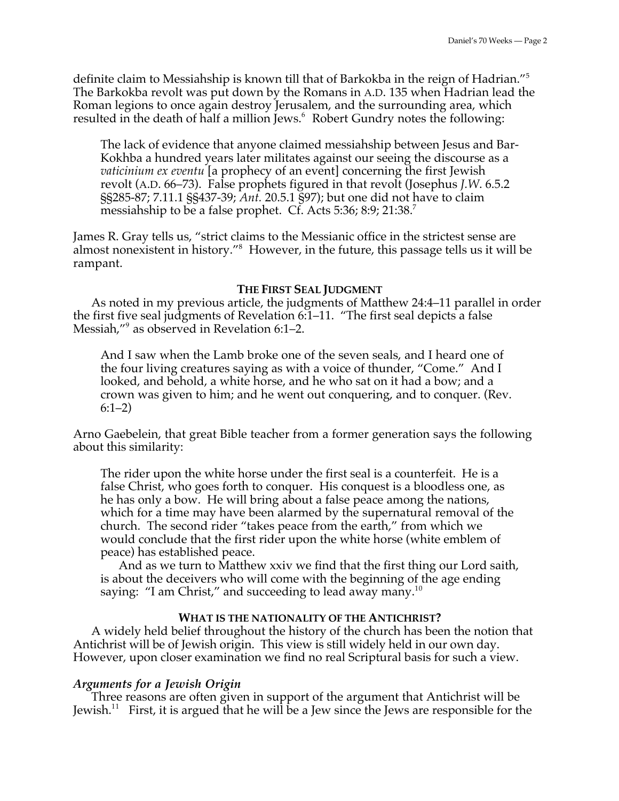definite claim to Messiahship is known till that of Barkokba in the reign of Hadrian."<sup>5</sup> The Barkokba revolt was put down by the Romans in A.D. 135 when Hadrian lead the Roman legions to once again destroy Jerusalem, and the surrounding area, which resulted in the death of half a million Jews.<sup>6</sup> Robert Gundry notes the following:

The lack of evidence that anyone claimed messiahship between Jesus and Bar-Kokhba a hundred years later militates against our seeing the discourse as a *vaticinium ex eventu* [a prophecy of an event] concerning the first Jewish revolt (A.D. 66–73). False prophets figured in that revolt (Josephus *J.W*. 6.5.2 §§285-87; 7.11.1 §§437-39; *Ant.* 20.5.1 §97); but one did not have to claim messiahship to be a false prophet. Cf. Acts 5:36; 8:9; 21:38.<sup>7</sup>

James R. Gray tells us, "strict claims to the Messianic office in the strictest sense are almost nonexistent in history."<sup>8</sup> However, in the future, this passage tells us it will be rampant.

#### **THE FIRST SEAL JUDGMENT**

As noted in my previous article, the judgments of Matthew 24:4–11 parallel in order the first five seal judgments of Revelation 6:1–11. "The first seal depicts a false Messiah,"<sup>9</sup> as observed in Revelation 6:1–2.

And I saw when the Lamb broke one of the seven seals, and I heard one of the four living creatures saying as with a voice of thunder, "Come." And I looked, and behold, a white horse, and he who sat on it had a bow; and a crown was given to him; and he went out conquering, and to conquer. (Rev. 6:1–2)

Arno Gaebelein, that great Bible teacher from a former generation says the following about this similarity:

The rider upon the white horse under the first seal is a counterfeit. He is a false Christ, who goes forth to conquer. His conquest is a bloodless one, as he has only a bow. He will bring about a false peace among the nations, which for a time may have been alarmed by the supernatural removal of the church. The second rider "takes peace from the earth," from which we would conclude that the first rider upon the white horse (white emblem of peace) has established peace.

And as we turn to Matthew xxiv we find that the first thing our Lord saith, is about the deceivers who will come with the beginning of the age ending saying: "I am Christ," and succeeding to lead away many.<sup>10</sup>

## **WHAT IS THE NATIONALITY OF THE ANTICHRIST?**

A widely held belief throughout the history of the church has been the notion that Antichrist will be of Jewish origin. This view is still widely held in our own day. However, upon closer examination we find no real Scriptural basis for such a view.

## *Arguments for a Jewish Origin*

Three reasons are often given in support of the argument that Antichrist will be Jewish.<sup>11</sup> First, it is argued that he will be a Jew since the Jews are responsible for the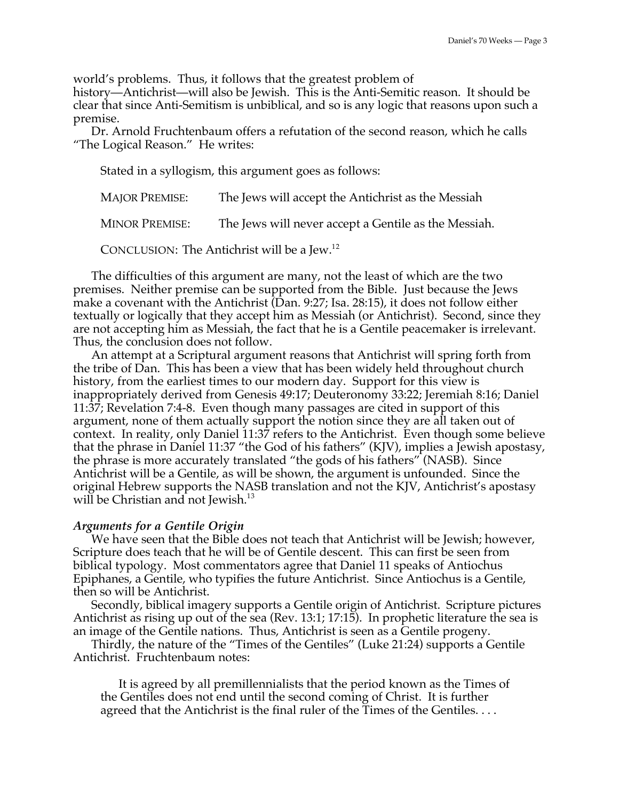world's problems. Thus, it follows that the greatest problem of

history—Antichrist—will also be Jewish. This is the Anti-Semitic reason. It should be clear that since Anti-Semitism is unbiblical, and so is any logic that reasons upon such a premise.

Dr. Arnold Fruchtenbaum offers a refutation of the second reason, which he calls "The Logical Reason." He writes:

Stated in a syllogism, this argument goes as follows:

MAJOR PREMISE: The Jews will accept the Antichrist as the Messiah MINOR PREMISE: The Jews will never accept a Gentile as the Messiah.

CONCLUSION: The Antichrist will be a Jew.<sup>12</sup>

The difficulties of this argument are many, not the least of which are the two premises. Neither premise can be supported from the Bible. Just because the Jews make a covenant with the Antichrist (Dan. 9:27; Isa. 28:15), it does not follow either textually or logically that they accept him as Messiah (or Antichrist). Second, since they are not accepting him as Messiah, the fact that he is a Gentile peacemaker is irrelevant. Thus, the conclusion does not follow.

An attempt at a Scriptural argument reasons that Antichrist will spring forth from the tribe of Dan. This has been a view that has been widely held throughout church history, from the earliest times to our modern day. Support for this view is inappropriately derived from Genesis 49:17; Deuteronomy 33:22; Jeremiah 8:16; Daniel 11:37; Revelation 7:4-8. Even though many passages are cited in support of this argument, none of them actually support the notion since they are all taken out of context. In reality, only Daniel 11:37 refers to the Antichrist. Even though some believe that the phrase in Daniel 11:37 "the God of his fathers" (KJV), implies a Jewish apostasy, the phrase is more accurately translated "the gods of his fathers" (NASB). Since Antichrist will be a Gentile, as will be shown, the argument is unfounded. Since the original Hebrew supports the NASB translation and not the KJV, Antichrist's apostasy will be Christian and not Jewish.<sup>13</sup>

## *Arguments for a Gentile Origin*

We have seen that the Bible does not teach that Antichrist will be Jewish; however, Scripture does teach that he will be of Gentile descent. This can first be seen from biblical typology. Most commentators agree that Daniel 11 speaks of Antiochus Epiphanes, a Gentile, who typifies the future Antichrist. Since Antiochus is a Gentile, then so will be Antichrist.

Secondly, biblical imagery supports a Gentile origin of Antichrist. Scripture pictures Antichrist as rising up out of the sea (Rev. 13:1; 17:15). In prophetic literature the sea is an image of the Gentile nations. Thus, Antichrist is seen as a Gentile progeny.

Thirdly, the nature of the "Times of the Gentiles" (Luke 21:24) supports a Gentile Antichrist. Fruchtenbaum notes:

It is agreed by all premillennialists that the period known as the Times of the Gentiles does not end until the second coming of Christ. It is further agreed that the Antichrist is the final ruler of the Times of the Gentiles. . . .